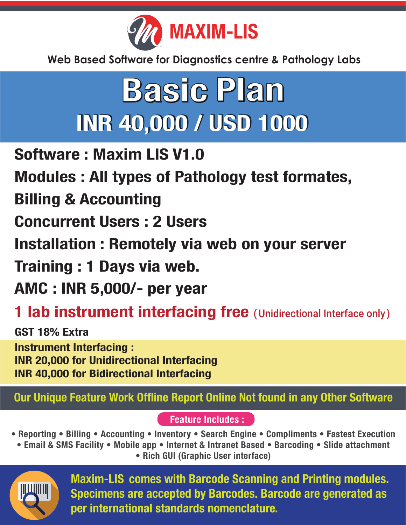

## **Basic Plan INR 40,000 / USD 1000**

Software : Maxim LIS V1.0

Modules : All types of Pathology test formates,

#### Billing & Accounting

Concurrent Users : 2 Users

Installation : Remotely via web on your server

Training : 1 Days via web.

AMC : INR 5,000/- per year

#### **1 lab instrument interfacing free** (Unidirectional Interface only)

GST 18% Extra Instrument Interfacing : INR 20,000 for Unidirectional Interfacing INR 40,000 for Bidirectional Interfacing

#### Our Unique Feature Work Offline Report Online Not found in any Other Software

Feature Includes :

- Reporting Billing Accounting Inventory Search Engine Compliments Fastest Execution
- Email & SMS Facility Mobile app Internet & Intranet Based Barcoding Slide attachment

• Rich GUI (Graphic User interface)



Maxim-LIS comes with Barcode Scanning and Printing modules. Specimens are accepted by Barcodes. Barcode are generated as per international standards nomenclature.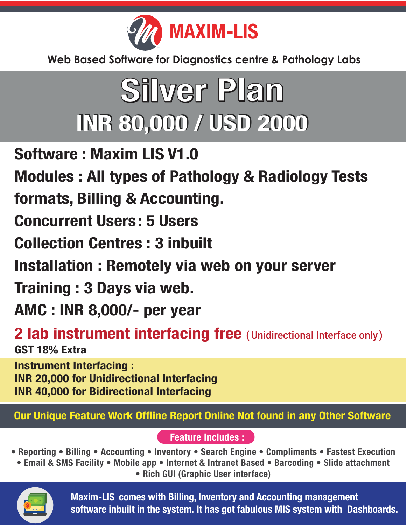

## **Silver Plan INR 80,000 / USD 2000**

Software : Maxim LIS V1.0

Modules : All types of Pathology & Radiology Tests

formats, Billing & Accounting.

Concurrent Users: 5 Users

Collection Centres : 3 inbuilt

Installation : Remotely via web on your server

Training : 3 Days via web.

AMC : INR 8,000/- per year

2 lab instrument interfacing free (Unidirectional Interface only) GST 18% Extra

Instrument Interfacing : INR 20,000 for Unidirectional Interfacing INR 40,000 for Bidirectional Interfacing

Our Unique Feature Work Offline Report Online Not found in any Other Software

Feature Includes :

• Reporting • Billing • Accounting • Inventory • Search Engine • Compliments • Fastest Execution

• Email & SMS Facility • Mobile app • Internet & Intranet Based • Barcoding • Slide attachment • Rich GUI (Graphic User interface)



Maxim-LIS comes with Billing, Inventory and Accounting management software inbuilt in the system. It has got fabulous MIS system with Dashboards.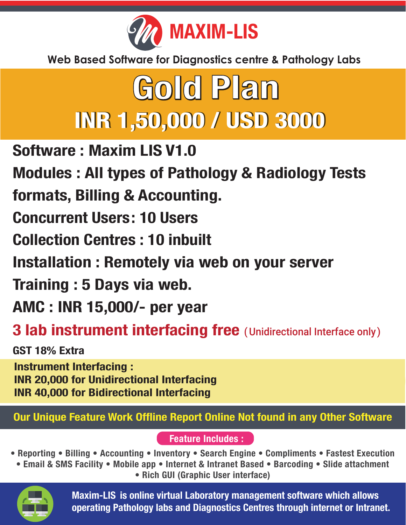

#### Gold Plan **INR 1,50,000 / USD 3000**

- Software : Maxim LIS V1.0
- Modules : All types of Pathology & Radiology Tests
- formats, Billing & Accounting.
- Concurrent Users: 10 Users
- Collection Centres : 10 inbuilt
- Installation : Remotely via web on your server
- Training : 5 Days via web.
- AMC : INR 15,000/- per year
- **3 lab instrument interfacing free** (Unidirectional Interface only)

GST 18% Extra

Instrument Interfacing : INR 20,000 for Unidirectional Interfacing INR 40,000 for Bidirectional Interfacing

Our Unique Feature Work Offline Report Online Not found in any Other Software

#### Feature Includes :

- Reporting Billing Accounting Inventory Search Engine Compliments Fastest Execution
- Email & SMS Facility Mobile app Internet & Intranet Based Barcoding Slide attachment • Rich GUI (Graphic User interface)



Maxim-LIS is online virtual Laboratory management software which allows operating Pathology labs and Diagnostics Centres through internet or Intranet.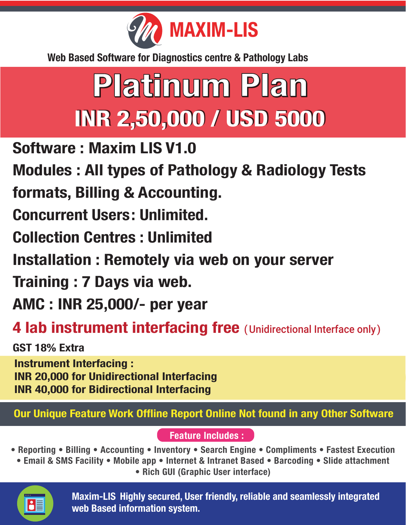

# Platinum Plan **INR 2,50,000 / USD 5000**

Software : Maxim LIS V1.0

Modules : All types of Pathology & Radiology Tests

formats, Billing & Accounting.

Concurrent Users: Unlimited.

Collection Centres : Unlimited

Installation : Remotely via web on your server

Training : 7 Days via web.

AMC : INR 25,000/- per year

4 lab instrument interfacing free (Unidirectional Interface only)

GST 18% Extra

Instrument Interfacing : INR 20,000 for Unidirectional Interfacing INR 40,000 for Bidirectional Interfacing

Our Unique Feature Work Offline Report Online Not found in any Other Software

Feature Includes :

• Reporting • Billing • Accounting • Inventory • Search Engine • Compliments • Fastest Execution • Email & SMS Facility • Mobile app • Internet & Intranet Based • Barcoding • Slide attachment

• Rich GUI (Graphic User interface)



Maxim-LIS Highly secured, User friendly, reliable and seamlessly integrated web Based information system.